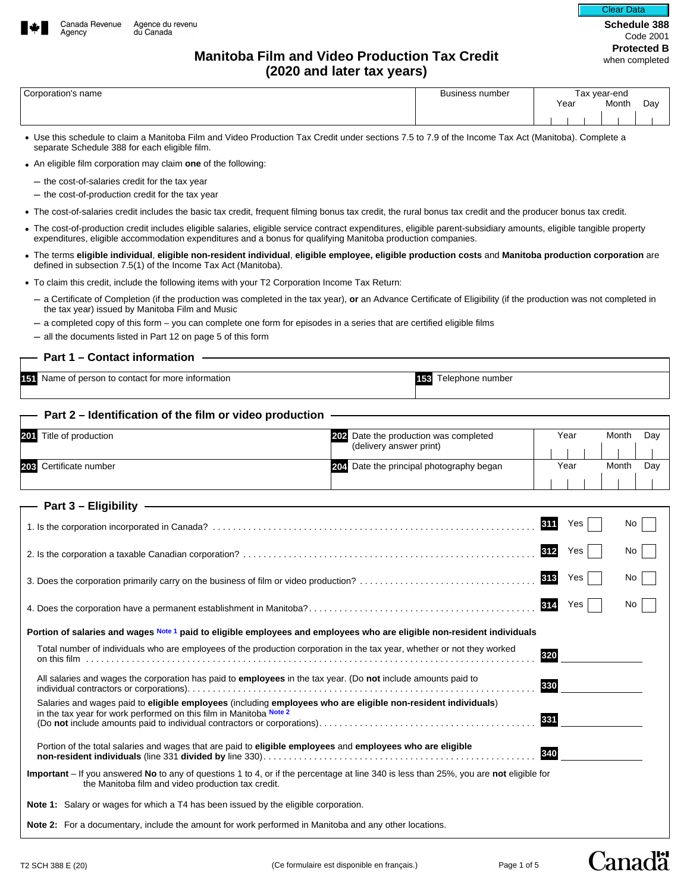

# **Protected B Manitoba Film and Video Production Tax Credit Manitoba Film and Video Production Tax Credit (2020 and later tax years)**

|  | Corporation's name |  |
|--|--------------------|--|
|--|--------------------|--|

| Corpora<br>name | isiness number |      | vear-end |     |
|-----------------|----------------|------|----------|-----|
|                 |                | Year | Month    | Day |
|                 |                |      |          |     |

- Use this schedule to claim a Manitoba Film and Video Production Tax Credit under sections 7.5 to 7.9 of the Income Tax Act (Manitoba). Complete a separate Schedule 388 for each eligible film.
- An eligible film corporation may claim **one** of the following:
	- the cost-of-salaries credit for the tax year
	- the cost-of-production credit for the tax year
- The cost-of-salaries credit includes the basic tax credit, frequent filming bonus tax credit, the rural bonus tax credit and the producer bonus tax credit.
- The cost-of-production credit includes eligible salaries, eligible service contract expenditures, eligible parent-subsidiary amounts, eligible tangible property expenditures, eligible accommodation expenditures and a bonus for qualifying Manitoba production companies.
- The terms **eligible individual**, **eligible non-resident individual**, **eligible employee, eligible production costs** and **Manitoba production corporation** are defined in subsection 7.5(1) of the Income Tax Act (Manitoba).
- To claim this credit, include the following items with your T2 Corporation Income Tax Return:
	- a Certificate of Completion (if the production was completed in the tax year), **or** an Advance Certificate of Eligibility (if the production was not completed in the tax year) issued by Manitoba Film and Music
	- a completed copy of this form you can complete one form for episodes in a series that are certified eligible films
	- all the documents listed in Part 12 on page 5 of this form

## **Part 1 – Contact information**

**151** Name of person to contact for more information **153** Telephone number

#### **Part 2 – Identification of the film or video production**

| 201<br>Title of production                                                                                                                                                                   | 202 Date the production was completed<br>(delivery answer print) | Year<br>Month<br>Day |
|----------------------------------------------------------------------------------------------------------------------------------------------------------------------------------------------|------------------------------------------------------------------|----------------------|
| 203 Certificate number                                                                                                                                                                       | 204 Date the principal photography began                         | Month<br>Day<br>Year |
| Part 3 - Eligibility -                                                                                                                                                                       |                                                                  |                      |
|                                                                                                                                                                                              |                                                                  | 311<br>No<br>Yes     |
|                                                                                                                                                                                              |                                                                  | 312<br>No<br>Yes     |
|                                                                                                                                                                                              |                                                                  | 313<br>No<br>Yes     |
|                                                                                                                                                                                              | 314<br>Yes<br>No                                                 |                      |
| Portion of salaries and wages Note 1 paid to eligible employees and employees who are eligible non-resident individuals                                                                      |                                                                  |                      |
| Total number of individuals who are employees of the production corporation in the tax year, whether or not they worked                                                                      |                                                                  | 320                  |
| All salaries and wages the corporation has paid to <b>employees</b> in the tax year. (Do not include amounts paid to                                                                         |                                                                  | 330                  |
| Salaries and wages paid to eligible employees (including employees who are eligible non-resident individuals)<br>in the tax year for work performed on this film in Manitoba Note 2          |                                                                  | 331                  |
| Portion of the total salaries and wages that are paid to eligible employees and employees who are eligible                                                                                   |                                                                  | 340                  |
| Important - If you answered No to any of questions 1 to 4, or if the percentage at line 340 is less than 25%, you are not eligible for<br>the Manitoba film and video production tax credit. |                                                                  |                      |
| <b>Note 1:</b> Salary or wages for which a T4 has been issued by the eligible corporation.                                                                                                   |                                                                  |                      |
| Note 2: For a documentary, include the amount for work performed in Manitoba and any other locations.                                                                                        |                                                                  |                      |

Canadä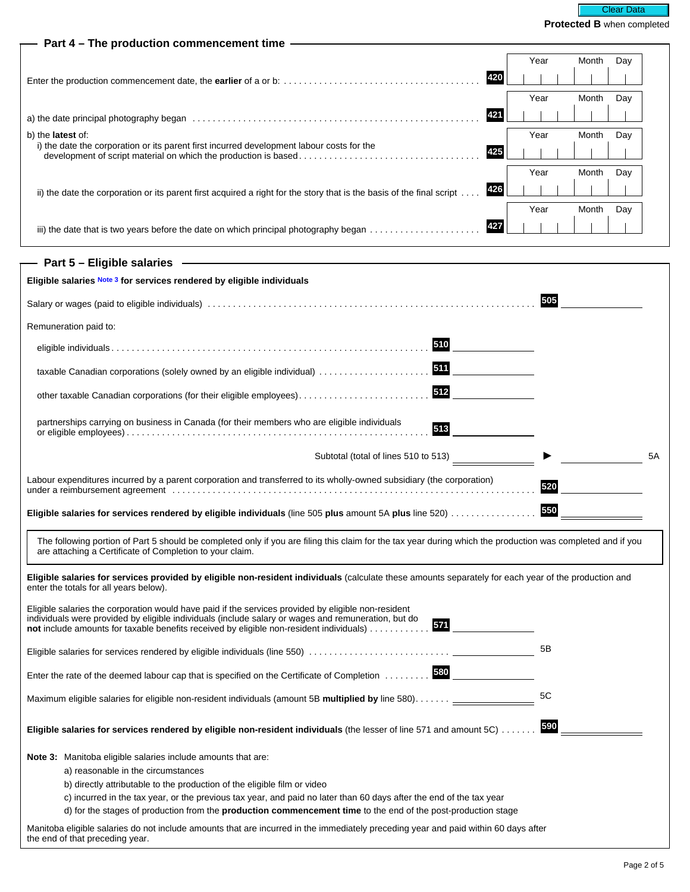|                                                                                                                                                                                                                                                                                                                     |      | <b>CULLEY WITCH CONTINUE</b> |    |
|---------------------------------------------------------------------------------------------------------------------------------------------------------------------------------------------------------------------------------------------------------------------------------------------------------------------|------|------------------------------|----|
| Part 4 - The production commencement time -                                                                                                                                                                                                                                                                         |      |                              |    |
|                                                                                                                                                                                                                                                                                                                     | Year | Month<br>Day                 |    |
| 420                                                                                                                                                                                                                                                                                                                 |      |                              |    |
|                                                                                                                                                                                                                                                                                                                     | Year | Month<br>Day                 |    |
| 421                                                                                                                                                                                                                                                                                                                 |      |                              |    |
| b) the <b>latest</b> of:                                                                                                                                                                                                                                                                                            | Year | Month<br>Day                 |    |
| i) the date the corporation or its parent first incurred development labour costs for the<br>425                                                                                                                                                                                                                    |      |                              |    |
|                                                                                                                                                                                                                                                                                                                     | Year | Month<br>Day                 |    |
| 426<br>ii) the date the corporation or its parent first acquired a right for the story that is the basis of the final script                                                                                                                                                                                        |      |                              |    |
|                                                                                                                                                                                                                                                                                                                     | Year | Month<br>Day                 |    |
| 427                                                                                                                                                                                                                                                                                                                 |      |                              |    |
| - Part 5 - Eligible salaries - All Allen Controller and Controller and Controller                                                                                                                                                                                                                                   |      |                              |    |
| Eligible salaries Note 3 for services rendered by eligible individuals                                                                                                                                                                                                                                              |      |                              |    |
|                                                                                                                                                                                                                                                                                                                     | 505  |                              |    |
| Remuneration paid to:                                                                                                                                                                                                                                                                                               |      |                              |    |
| 510                                                                                                                                                                                                                                                                                                                 |      |                              |    |
| 511<br>taxable Canadian corporations (solely owned by an eligible individual)                                                                                                                                                                                                                                       |      |                              |    |
| 512<br>other taxable Canadian corporations (for their eligible employees)                                                                                                                                                                                                                                           |      |                              |    |
| partnerships carrying on business in Canada (for their members who are eligible individuals                                                                                                                                                                                                                         |      |                              |    |
| 513                                                                                                                                                                                                                                                                                                                 |      |                              |    |
| Subtotal (total of lines 510 to 513)                                                                                                                                                                                                                                                                                |      |                              | 5A |
| Labour expenditures incurred by a parent corporation and transferred to its wholly-owned subsidiary (the corporation)                                                                                                                                                                                               | 520  |                              |    |
|                                                                                                                                                                                                                                                                                                                     |      |                              |    |
| Eligible salaries for services rendered by eligible individuals (line 505 plus amount 5A plus line 520)                                                                                                                                                                                                             | 550  |                              |    |
| The following portion of Part 5 should be completed only if you are filing this claim for the tax year during which the production was completed and if you<br>are attaching a Certificate of Completion to your claim.                                                                                             |      |                              |    |
| Eligible salaries for services provided by eligible non-resident individuals (calculate these amounts separately for each year of the production and<br>enter the totals for all years below).                                                                                                                      |      |                              |    |
| Eligible salaries the corporation would have paid if the services provided by eligible non-resident<br>individuals were provided by eligible individuals (include salary or wages and remuneration, but do<br>571<br><b>not</b> include amounts for taxable benefits received by eligible non-resident individuals) |      |                              |    |
|                                                                                                                                                                                                                                                                                                                     | 5B   |                              |    |
| Enter the rate of the deemed labour cap that is specified on the Certificate of Completion  580                                                                                                                                                                                                                     |      |                              |    |
| Maximum eligible salaries for eligible non-resident individuals (amount 5B multiplied by line 580). ___                                                                                                                                                                                                             | 5C   |                              |    |
| Eligible salaries for services rendered by eligible non-resident individuals (the lesser of line 571 and amount 5C)                                                                                                                                                                                                 | 590  |                              |    |
| Note 3: Manitoba eligible salaries include amounts that are:                                                                                                                                                                                                                                                        |      |                              |    |
| a) reasonable in the circumstances                                                                                                                                                                                                                                                                                  |      |                              |    |
| b) directly attributable to the production of the eligible film or video                                                                                                                                                                                                                                            |      |                              |    |
| c) incurred in the tax year, or the previous tax year, and paid no later than 60 days after the end of the tax year<br>d) for the stages of production from the <b>production commencement time</b> to the end of the post-production stage                                                                         |      |                              |    |
| Manitoba eligible salaries do not include amounts that are incurred in the immediately preceding year and paid within 60 days after                                                                                                                                                                                 |      |                              |    |

the end of that preceding year.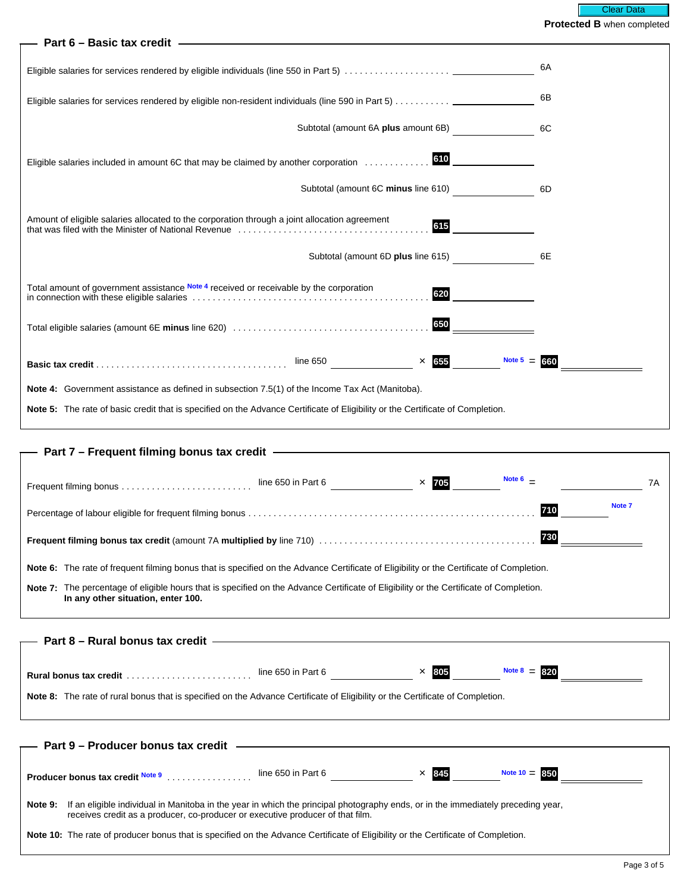## **Part 6 – Basic tax credit**

|                                                                                                                                | 6A |
|--------------------------------------------------------------------------------------------------------------------------------|----|
| Eligible salaries for services rendered by eligible non-resident individuals (line 590 in Part 5)                              | 6B |
| Subtotal (amount 6A plus amount 6B)                                                                                            | 6C |
| 610<br>Eligible salaries included in amount 6C that may be claimed by another corporation                                      |    |
| Subtotal (amount 6C minus line 610)                                                                                            | 6D |
| Amount of eligible salaries allocated to the corporation through a joint allocation agreement<br>615                           |    |
| Subtotal (amount 6D plus line 615)                                                                                             | 6E |
| Total amount of government assistance Note 4 received or receivable by the corporation<br>620                                  |    |
| 650                                                                                                                            |    |
| $\times$ 655<br>Note $5 = 660$                                                                                                 |    |
| <b>Note 4:</b> Government assistance as defined in subsection 7.5(1) of the Income Tax Act (Manitoba).                         |    |
| Note 5: The rate of basic credit that is specified on the Advance Certificate of Eligibility or the Certificate of Completion. |    |

## **Part 7 – Frequent filming bonus tax credit**

|                                                                                                                                                                              | line 650 in Part 6 | $\times$ 705 | Note 6 $\phantom{0}$ |        | 7A |
|------------------------------------------------------------------------------------------------------------------------------------------------------------------------------|--------------------|--------------|----------------------|--------|----|
|                                                                                                                                                                              |                    |              | 710                  | Note 7 |    |
|                                                                                                                                                                              |                    |              | 730                  |        |    |
| <b>Note 6:</b> The rate of frequent filming bonus that is specified on the Advance Certificate of Eligibility or the Certificate of Completion.                              |                    |              |                      |        |    |
| Note 7: The percentage of eligible hours that is specified on the Advance Certificate of Eligibility or the Certificate of Completion.<br>In any other situation, enter 100. |                    |              |                      |        |    |
|                                                                                                                                                                              |                    |              |                      |        |    |

| — Part 8 – Rural bonus tax credit —                                                                                           |                    |              |                |  |
|-------------------------------------------------------------------------------------------------------------------------------|--------------------|--------------|----------------|--|
|                                                                                                                               |                    |              |                |  |
|                                                                                                                               |                    |              |                |  |
| Rural bonus tax credit                                                                                                        | line 650 in Part 6 | $\times$ 805 | Note $8 = 820$ |  |
| Note 8: The rate of rural bonus that is specified on the Advance Certificate of Eligibility or the Certificate of Completion. |                    |              |                |  |
|                                                                                                                               |                    |              |                |  |

|         | — Part 9 – Producer bonus tax credit                                                                                                                                                                               |                    |              |                 |
|---------|--------------------------------------------------------------------------------------------------------------------------------------------------------------------------------------------------------------------|--------------------|--------------|-----------------|
|         |                                                                                                                                                                                                                    |                    |              |                 |
|         | Producer bonus tax credit Note 9                                                                                                                                                                                   | line 650 in Part 6 | $\times$ 845 | Note $10 = 850$ |
| Note 9: | If an eligible individual in Manitoba in the year in which the principal photography ends, or in the immediately preceding year,<br>receives credit as a producer, co-producer or executive producer of that film. |                    |              |                 |
|         | Note 10: The rate of producer bonus that is specified on the Advance Certificate of Eligibility or the Certificate of Completion.                                                                                  |                    |              |                 |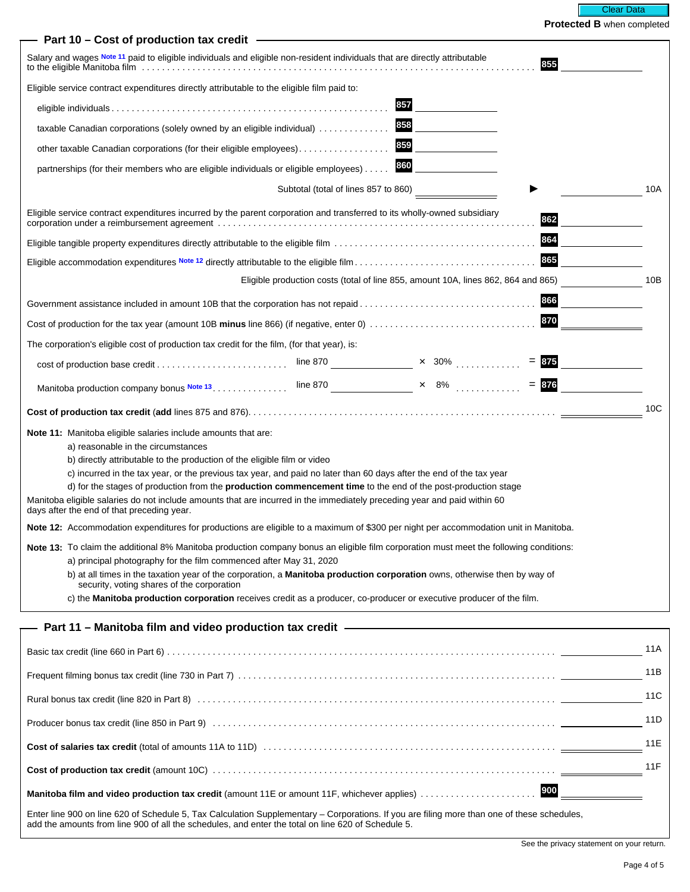| Part 10 - Cost of production tax credit -                                                                                                                                                                                                                                                                                                                                                                                                                                                                                                                                                                       |     |         |     |
|-----------------------------------------------------------------------------------------------------------------------------------------------------------------------------------------------------------------------------------------------------------------------------------------------------------------------------------------------------------------------------------------------------------------------------------------------------------------------------------------------------------------------------------------------------------------------------------------------------------------|-----|---------|-----|
| Salary and wages Note 11 paid to eligible individuals and eligible non-resident individuals that are directly attributable                                                                                                                                                                                                                                                                                                                                                                                                                                                                                      |     | 855     |     |
| Eligible service contract expenditures directly attributable to the eligible film paid to:                                                                                                                                                                                                                                                                                                                                                                                                                                                                                                                      |     |         |     |
|                                                                                                                                                                                                                                                                                                                                                                                                                                                                                                                                                                                                                 | 857 |         |     |
| taxable Canadian corporations (solely owned by an eligible individual)                                                                                                                                                                                                                                                                                                                                                                                                                                                                                                                                          | 858 |         |     |
| other taxable Canadian corporations (for their eligible employees)                                                                                                                                                                                                                                                                                                                                                                                                                                                                                                                                              | 859 |         |     |
| partnerships (for their members who are eligible individuals or eligible employees)                                                                                                                                                                                                                                                                                                                                                                                                                                                                                                                             | 860 |         |     |
| Subtotal (total of lines 857 to 860)                                                                                                                                                                                                                                                                                                                                                                                                                                                                                                                                                                            |     |         | 10A |
| Eligible service contract expenditures incurred by the parent corporation and transferred to its wholly-owned subsidiary                                                                                                                                                                                                                                                                                                                                                                                                                                                                                        |     | 862     |     |
|                                                                                                                                                                                                                                                                                                                                                                                                                                                                                                                                                                                                                 |     | 864     |     |
|                                                                                                                                                                                                                                                                                                                                                                                                                                                                                                                                                                                                                 |     | 865     |     |
| Eligible production costs (total of line 855, amount 10A, lines 862, 864 and 865)                                                                                                                                                                                                                                                                                                                                                                                                                                                                                                                               |     |         | 10B |
| Government assistance included in amount 10B that the corporation has not repaid                                                                                                                                                                                                                                                                                                                                                                                                                                                                                                                                |     | 866     |     |
|                                                                                                                                                                                                                                                                                                                                                                                                                                                                                                                                                                                                                 |     | 870     |     |
| The corporation's eligible cost of production tax credit for the film, (for that year), is:                                                                                                                                                                                                                                                                                                                                                                                                                                                                                                                     |     |         |     |
|                                                                                                                                                                                                                                                                                                                                                                                                                                                                                                                                                                                                                 |     | $= 875$ |     |
|                                                                                                                                                                                                                                                                                                                                                                                                                                                                                                                                                                                                                 |     | $= 876$ |     |
|                                                                                                                                                                                                                                                                                                                                                                                                                                                                                                                                                                                                                 |     |         | 10C |
| <b>Note 11:</b> Manitoba eligible salaries include amounts that are:<br>a) reasonable in the circumstances<br>b) directly attributable to the production of the eligible film or video<br>c) incurred in the tax year, or the previous tax year, and paid no later than 60 days after the end of the tax year<br>d) for the stages of production from the <b>production commencement time</b> to the end of the post-production stage<br>Manitoba eligible salaries do not include amounts that are incurred in the immediately preceding year and paid within 60<br>days after the end of that preceding year. |     |         |     |
| Note 12: Accommodation expenditures for productions are eligible to a maximum of \$300 per night per accommodation unit in Manitoba.                                                                                                                                                                                                                                                                                                                                                                                                                                                                            |     |         |     |
| Note 13: To claim the additional 8% Manitoba production company bonus an eligible film corporation must meet the following conditions:<br>a) principal photography for the film commenced after May 31, 2020<br>b) at all times in the taxation year of the corporation, a <b>Manitoba production corporation</b> owns, otherwise then by way of<br>security, voting shares of the corporation<br>c) the Manitoba production corporation receives credit as a producer, co-producer or executive producer of the film.                                                                                          |     |         |     |
|                                                                                                                                                                                                                                                                                                                                                                                                                                                                                                                                                                                                                 |     |         |     |
|                                                                                                                                                                                                                                                                                                                                                                                                                                                                                                                                                                                                                 |     |         | 11A |
|                                                                                                                                                                                                                                                                                                                                                                                                                                                                                                                                                                                                                 |     |         | 11B |
|                                                                                                                                                                                                                                                                                                                                                                                                                                                                                                                                                                                                                 |     |         | 11C |
| Producer bonus tax credit (line 850 in Part 9) (and all contained according to the state of the state of the state of the state of the state of the state of the state of the state of the state of the state of the state of                                                                                                                                                                                                                                                                                                                                                                                   |     |         | 11D |
|                                                                                                                                                                                                                                                                                                                                                                                                                                                                                                                                                                                                                 |     |         | 11E |
|                                                                                                                                                                                                                                                                                                                                                                                                                                                                                                                                                                                                                 |     |         | 11F |
| Manitoba film and video production tax credit (amount 11E or amount 11F, whichever applies)                                                                                                                                                                                                                                                                                                                                                                                                                                                                                                                     |     | 900     |     |
| Enter line 900 on line 620 of Schedule 5, Tax Calculation Supplementary – Corporations. If you are filing more than one of these schedules,<br>add the amounts from line 900 of all the schedules, and enter the total on line 620 of Schedule 5.                                                                                                                                                                                                                                                                                                                                                               |     |         |     |

See the privacy statement on your return.